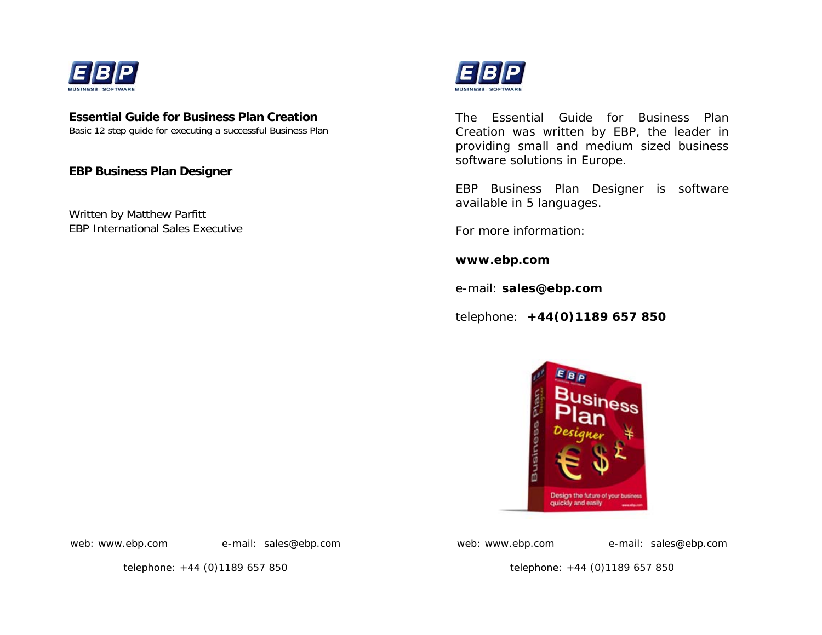

### **Essential Guide for Business Plan Creation**

Basic 12 step guide for executing a successful Business Plan

**EBP Business Plan Designer** 

Written by Matthew Parfitt EBP International Sales Executive



The Essential Guide for Business Plan Creation was written by EBP, the leader in providing small and medium sized business software solutions in Europe.

EBP Business Plan Designer is software available in 5 languages.

For more information:

**www.ebp.com** 

e-mail: **sales@ebp.com**

telephone: **+44(0)1189 657 850**



web: www.ebp.com e-mail: sales@ebp.com

web: www.ebp.com e-mail: sales@ebp.com

telephone: +44 (0)1189 657 850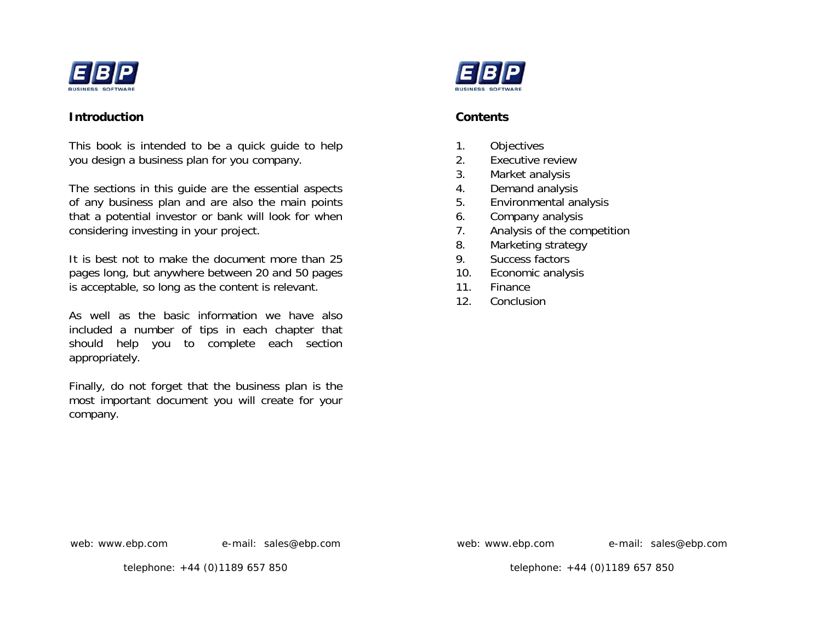

#### **Introduction**

This book is intended to be a quick guide to help you design a business plan for you company.

The sections in this guide are the essential aspects of any business plan and are also the main points that a potential investor or bank will look for when considering investing in your project.

It is best not to make the document more than 25 pages long, but anywhere between 20 and 50 pages is acceptable, so long as the content is relevant.

As well as the basic information we have also included a number of tips in each chapter that should help you to complete each section appropriately.

Finally, do not forget that the business plan is the most important document you will create for your company.



### **Contents**

- 1. Objectives
- 2. Executive review
- 3. Market analysis
- 4. Demand analysis
- 5. Environmental analysis
- 6. Company analysis
- 7. Analysis of the competition
- 8. Marketing strategy
- 9. Success factors
- 10. Economic analysis
- 11. Finance
- 12. Conclusion

web: www.ebp.com e-mail: sales@ebp.com

web: www.ebp.com e-mail: sales@ebp.com

telephone: +44 (0)1189 657 850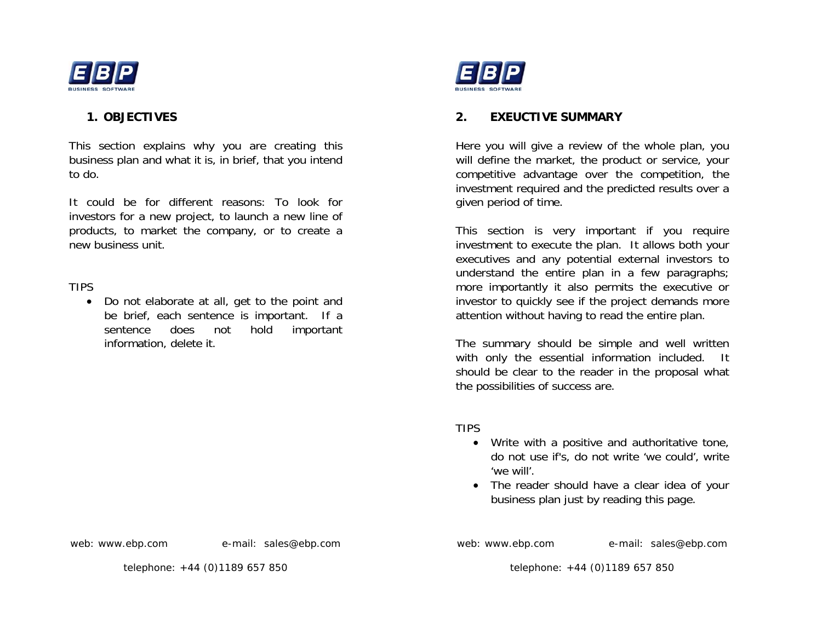

### **1. OBJECTIVES**

This section explains why you are creating this business plan and what it is, in brief, that you intend to do.

It could be for different reasons: To look for investors for a new project, to launch a new line of products, to market the company, or to create a new business unit.

### TIPS

• Do not elaborate at all, get to the point and be brief, each sentence is important. If a sentence does not hold important information, delete it.



## **2. EXEUCTIVE SUMMARY**

Here you will give a review of the whole plan, you will define the market, the product or service, your competitive advantage over the competition, the investment required and the predicted results over a given period of time.

This section is very important if you require investment to execute the plan. It allows both your executives and any potential external investors to understand the entire plan in a few paragraphs; more importantly it also permits the executive or investor to quickly see if the project demands more attention without having to read the entire plan.

The summary should be simple and well written with only the essential information included. It should be clear to the reader in the proposal what the possibilities of success are.

TIPS

- Write with a positive and authoritative tone, do not use if's, do not write 'we could', write 'we will'.
- The reader should have a clear idea of your business plan just by reading this page.

web: www.ebp.com e-mail: sales@ebp.com

telephone: +44 (0)1189 657 850

web: www.ebp.com e-mail: sales@ebp.com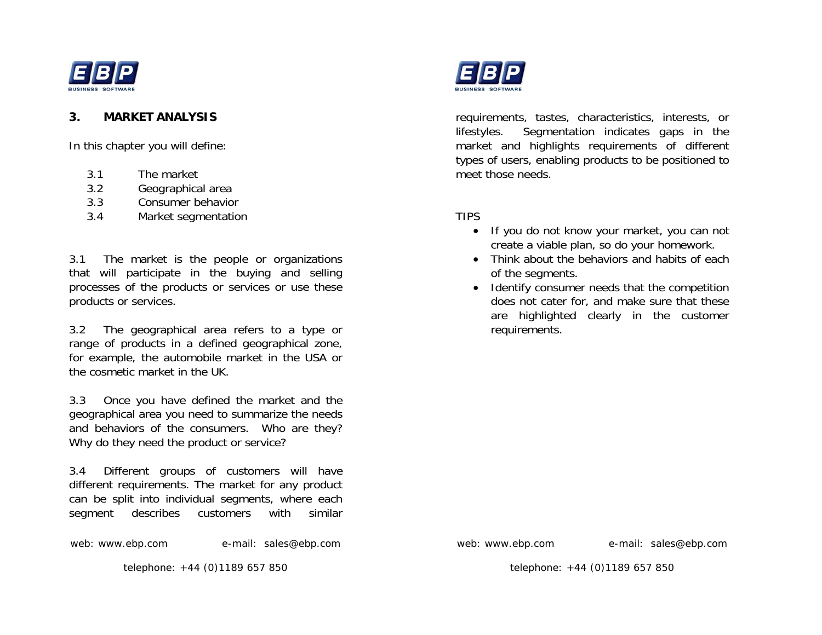

### **3. MARKET ANALYSIS**

In this chapter you will define:

- 3.1 The market
- 3.2 Geographical area
- 3.3Consumer behavior
- 3.4 Market segmentation

3.1 The market is the people or organizations that will participate in the buying and selling processes of the products or services or use these products or services.

3.2 The geographical area refers to a type or range of products in a defined geographical zone, for example, the automobile market in the USA or the cosmetic market in the UK.

3.3 Once you have defined the market and the geographical area you need to summarize the needs and behaviors of the consumers. Who are they? Why do they need the product or service?

3.4 Different groups of customers will have different requirements. The market for any product can be split into individual segments, where each segment describes customers with similar

web: www.ebp.com e-mail: sales@ebp.com

telephone: +44 (0)1189 657 850



requirements, tastes, characteristics, interests, or lifestyles. Segmentation indicates gaps in the market and highlights requirements of different types of users, enabling products to be positioned to meet those needs.

### TIPS

- If you do not know your market, you can not create a viable plan, so do your homework.
- Think about the behaviors and habits of each of the segments.
- Identify consumer needs that the competition does not cater for, and make sure that these are highlighted clearly in the customer requirements.

web: www.ebp.com e-mail: sales@ebp.com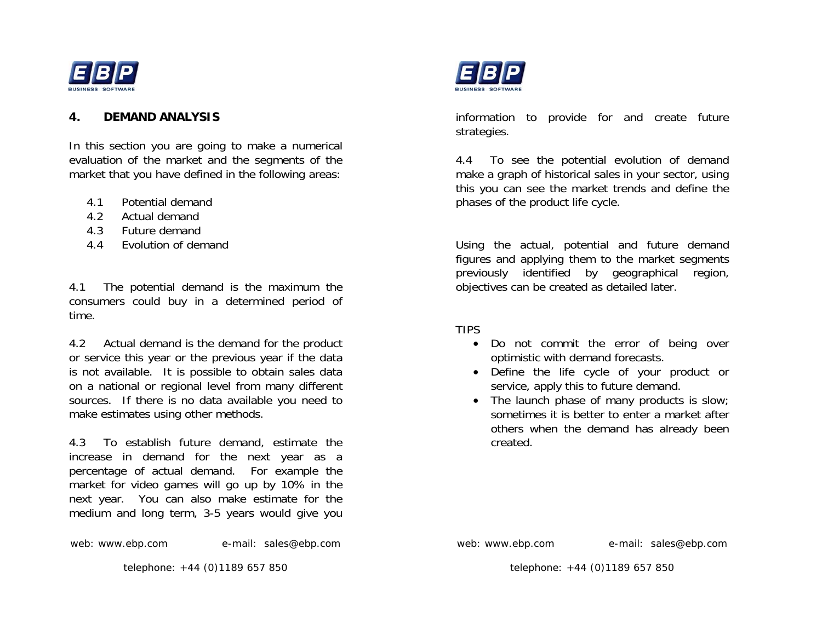

#### **4. DEMAND ANALYSIS**

In this section you are going to make a numerical evaluation of the market and the segments of the market that you have defined in the following areas:

- 4.1Potential demand
- 4.2Actual demand
- 4.3Future demand
- 4.4 Evolution of demand

4.1 The potential demand is the maximum the consumers could buy in a determined period of time.

4.2 Actual demand is the demand for the product or service this year or the previous year if the data is not available. It is possible to obtain sales data on a national or regional level from many different sources. If there is no data available you need to make estimates using other methods.

4.3 To establish future demand, estimate the increase in demand for the next year as a percentage of actual demand. For example the market for video games will go up by 10% in the next year. You can also make estimate for the medium and long term, 3-5 years would give you

web: www.ebp.com e-mail: sales@ebp.com

telephone: +44 (0)1189 657 850



information to provide for and create future strategies.

4.4 To see the potential evolution of demand make a graph of historical sales in your sector, using this you can see the market trends and define the phases of the product life cycle.

Using the actual, potential and future demand figures and applying them to the market segments previously identified by geographical region, objectives can be created as detailed later.

TIPS

- Do not commit the error of being over optimistic with demand forecasts.
- Define the life cycle of your product or service, apply this to future demand.
- The launch phase of many products is slow; sometimes it is better to enter a market after others when the demand has already been created.

web: www.ebp.com e-mail: sales@ebp.com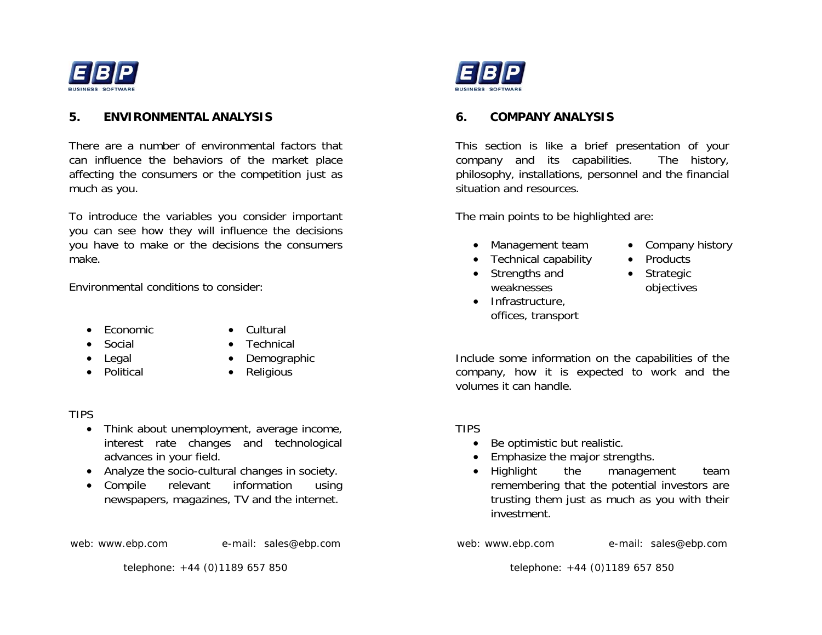

### **5. ENVIRONMENTAL ANALYSIS**

There are a number of environmental factors that can influence the behaviors of the market place affecting the consumers or the competition just as much as you.

To introduce the variables you consider important you can see how they will influence the decisions you have to make or the decisions the consumers make.

Environmental conditions to consider:

- Economic Cultural • Social
- - Technical
	- Demographic
- Legal •
	- Political Religious

#### TIPS

- Think about unemployment, average income, interest rate changes and technological advances in your field.
- Analyze the socio-cultural changes in society.
- Compile relevant information using newspapers, magazines, TV and the internet.

web: www.ebp.com e-mail: sales@ebp.com

telephone: +44 (0)1189 657 850



### **6. COMPANY ANALYSIS**

This section is like a brief presentation of your company and its capabilities. The history, philosophy, installations, personnel and the financial situation and resources.

The main points to be highlighted are:

- Management team Company history
- Technical capability Products
- Strengths and weaknesses
- Infrastructure, offices, transport
- 
- 
- Strategic objectives

Include some information on the capabilities of the company, how it is expected to work and the volumes it can handle.

#### TIPS

- Be optimistic but realistic.
- Emphasize the major strengths.
- Highlight the management team remembering that the potential investors are trusting them just as much as you with their investment.

web: www.ebp.com e-mail: sales@ebp.com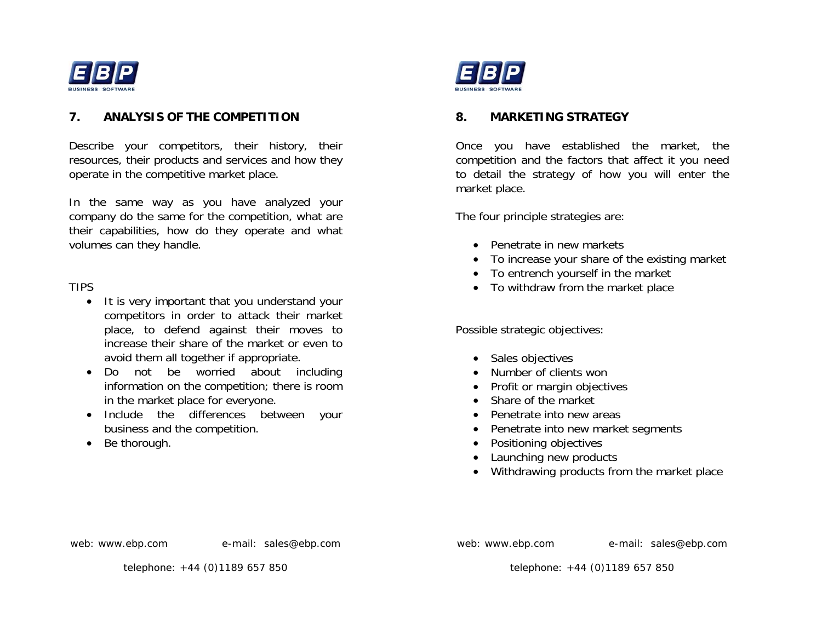

### **7. ANALYSIS OF THE COMPETITION**

Describe your competitors, their history, their resources, their products and services and how they operate in the competitive market place.

In the same way as you have analyzed your company do the same for the competition, what are their capabilities, how do they operate and what volumes can they handle.

### TIPS

- It is very important that you understand your competitors in order to attack their market place, to defend against their moves to increase their share of the market or even to avoid them all together if appropriate.
- Do not be worried about including information on the competition; there is room in the market place for everyone.
- Include the differences between your business and the competition.
- Be thorough.



### **8. MARKETING STRATEGY**

Once you have established the market, the competition and the factors that affect it you need to detail the strategy of how you will enter the market place.

The four principle strategies are:

- Penetrate in new markets
- To increase your share of the existing market
- To entrench yourself in the market
- To withdraw from the market place

Possible strategic objectives:

- Sales objectives
- Number of clients won
- Profit or margin objectives
- Share of the market
- Penetrate into new areas
- Penetrate into new market segments
- Positioning objectives
- Launching new products
- Withdrawing products from the market place

web: www.ebp.com e-mail: sales@ebp.com

web: www.ebp.com e-mail: sales@ebp.com

telephone: +44 (0)1189 657 850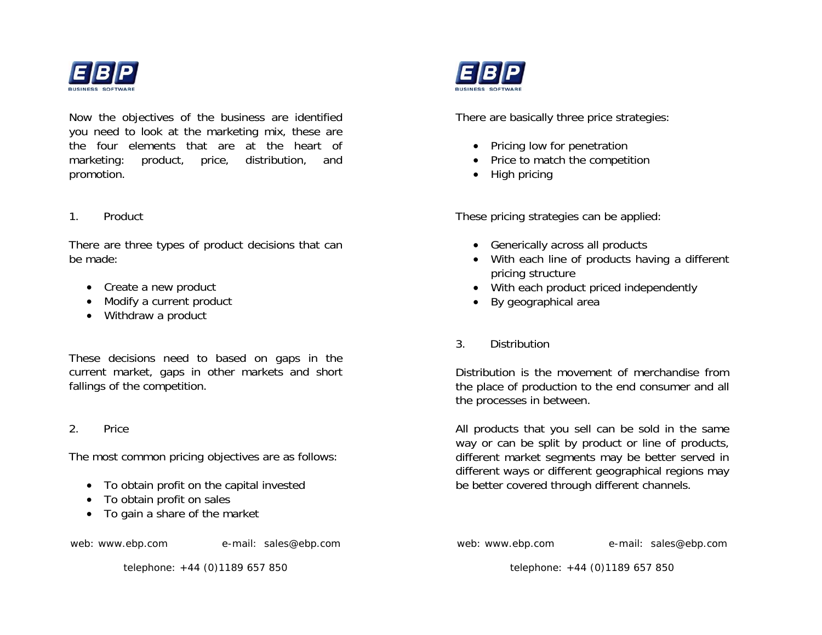

Now the objectives of the business are identified you need to look at the marketing mix, these are the four elements that are at the heart of marketing: product, price, distribution, and promotion.

### 1. Product

There are three types of product decisions that can be made:

- Create a new product
- Modify a current product
- Withdraw a product

These decisions need to based on gaps in the current market, gaps in other markets and short fallings of the competition.

#### 2. Price

The most common pricing objectives are as follows:

- To obtain profit on the capital invested
- To obtain profit on sales
- To gain a share of the market

web: www.ebp.com e-mail: sales@ebp.com

telephone: +44 (0)1189 657 850



There are basically three price strategies:

- Pricing low for penetration
- Price to match the competition
- High pricing

These pricing strategies can be applied:

- Generically across all products
- With each line of products having a different pricing structure
- With each product priced independently
- By geographical area
- 3. Distribution

Distribution is the movement of merchandise from the place of production to the end consumer and all the processes in between.

All products that you sell can be sold in the same way or can be split by product or line of products, different market segments may be better served in different ways or different geographical regions may be better covered through different channels.

web: www.ebp.com e-mail: sales@ebp.com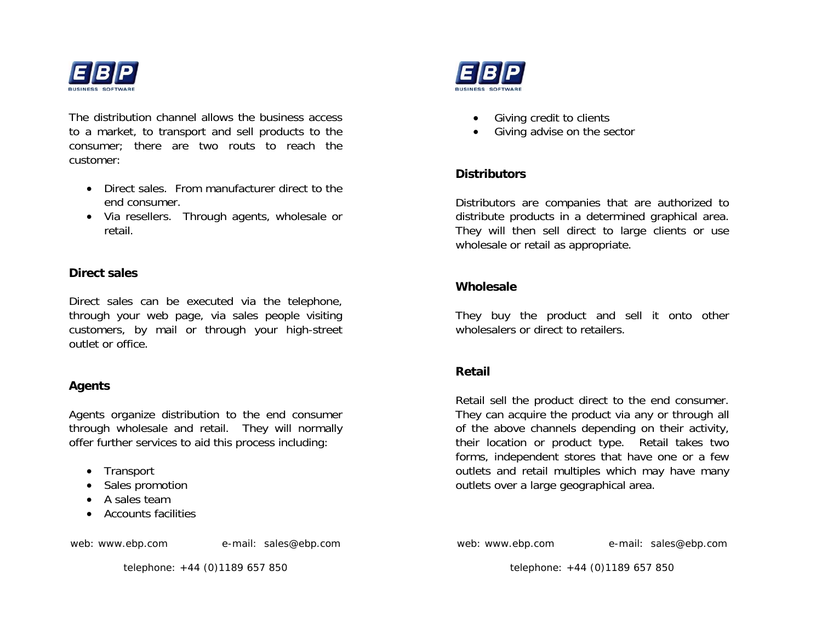

The distribution channel allows the business access to a market, to transport and sell products to the consumer; there are two routs to reach the customer:

- Direct sales. From manufacturer direct to the end consumer.
- Via resellers. Through agents, wholesale or retail.

#### **Direct sales**

Direct sales can be executed via the telephone, through your web page, via sales people visiting customers, by mail or through your high-street outlet or office.

#### **Agents**

Agents organize distribution to the end consumer through wholesale and retail. They will normally offer further services to aid this process including:

- Transport
- Sales promotion
- A sales team
- Accounts facilities

web: www.ebp.com e-mail: sales@ebp.com

telephone: +44 (0)1189 657 850



- Giving credit to clients
- Giving advise on the sector

### **Distributors**

Distributors are companies that are authorized to distribute products in a determined graphical area. They will then sell direct to large clients or use wholesale or retail as appropriate.

### **Wholesale**

They buy the product and sell it onto other wholesalers or direct to retailers.

### **Retail**

Retail sell the product direct to the end consumer. They can acquire the product via any or through all of the above channels depending on their activity, their location or product type. Retail takes two forms, independent stores that have one or a few outlets and retail multiples which may have many outlets over a large geographical area.

web: www.ebp.com e-mail: sales@ebp.com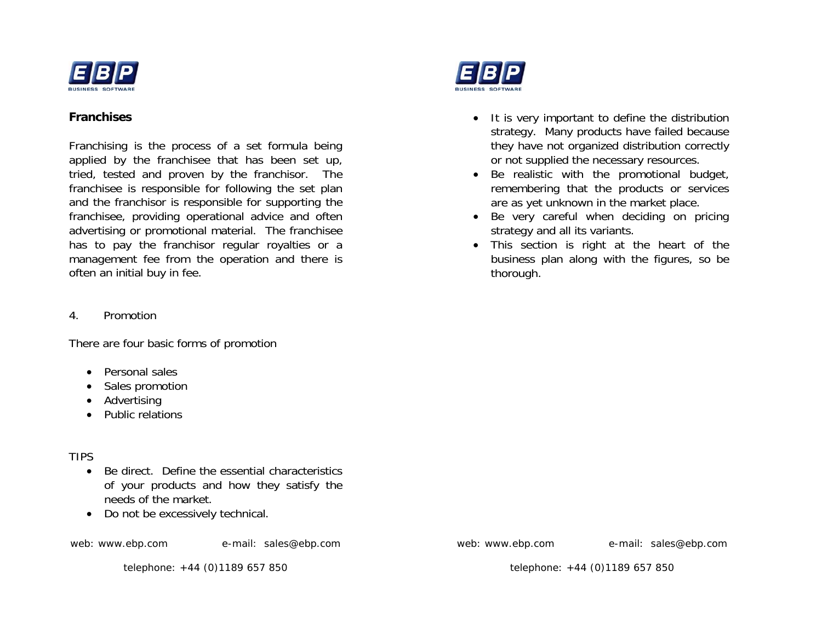

### **Franchises**

Franchising is the process of a set formula being applied by the franchisee that has been set up, tried, tested and proven by the franchisor. The franchisee is responsible for following the set plan and the franchisor is responsible for supporting the franchisee, providing operational advice and often advertising or promotional material. The franchisee has to pay the franchisor regular royalties or a management fee from the operation and there is often an initial buy in fee.

4. Promotion

There are four basic forms of promotion

- Personal sales
- Sales promotion
- Advertising
- Public relations

## TIPS

- Be direct. Define the essential characteristics of your products and how they satisfy the needs of the market.
- Do not be excessively technical.

web: www.ebp.com e-mail: sales@ebp.com

telephone: +44 (0)1189 657 850



- It is very important to define the distribution strategy. Many products have failed because they have not organized distribution correctly or not supplied the necessary resources.
- Be realistic with the promotional budget, remembering that the products or services are as yet unknown in the market place.
- Be very careful when deciding on pricing strategy and all its variants.
- This section is right at the heart of the business plan along with the figures, so be thorough.

web: www.ebp.com e-mail: sales@ebp.com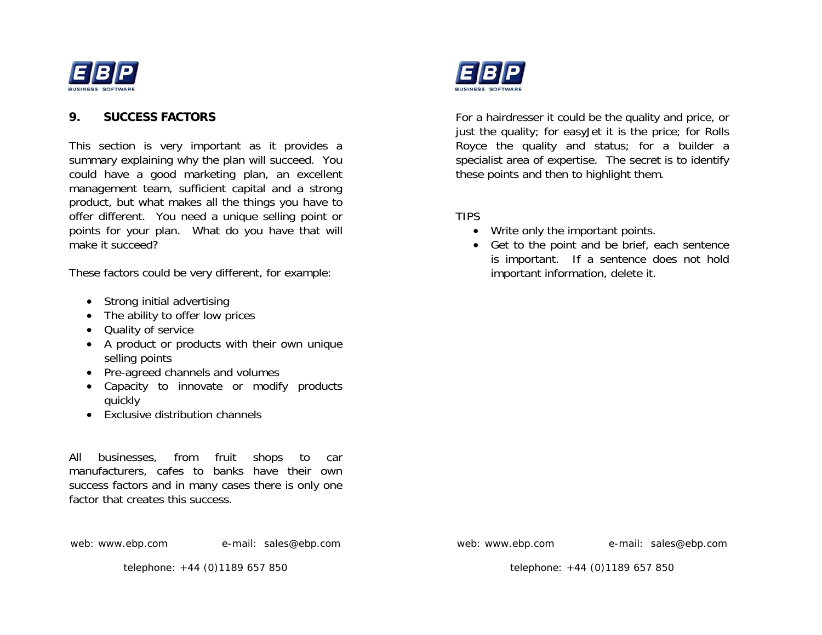

#### **9. SUCCESS FACTORS**

This section is very important as it provides a summary explaining why the plan will succeed. You could have a good marketing plan, an excellent management team, sufficient capital and a strong product, but what makes all the things you have to offer different. You need a unique selling point or points for your plan. What do you have that will make it succeed?

These factors could be very different, for example:

- Strong initial advertising
- The ability to offer low prices
- Quality of service
- A product or products with their own unique selling points
- Pre-agreed channels and volumes
- Capacity to innovate or modify products quickly
- Exclusive distribution channels

All businesses, from fruit shops to car manufacturers, cafes to banks have their own success factors and in many cases there is only one factor that creates this success.



telephone: +44 (0)1189 657 850



For a hairdresser it could be the quality and price, or just the quality; for easyJet it is the price; for Rolls Royce the quality and status; for a builder a specialist area of expertise. The secret is to identify these points and then to highlight them.

### TIPS

- Write only the important points.
- Get to the point and be brief, each sentence is important. If a sentence does not hold important information, delete it.

web: www.ebp.com e-mail: sales@ebp.com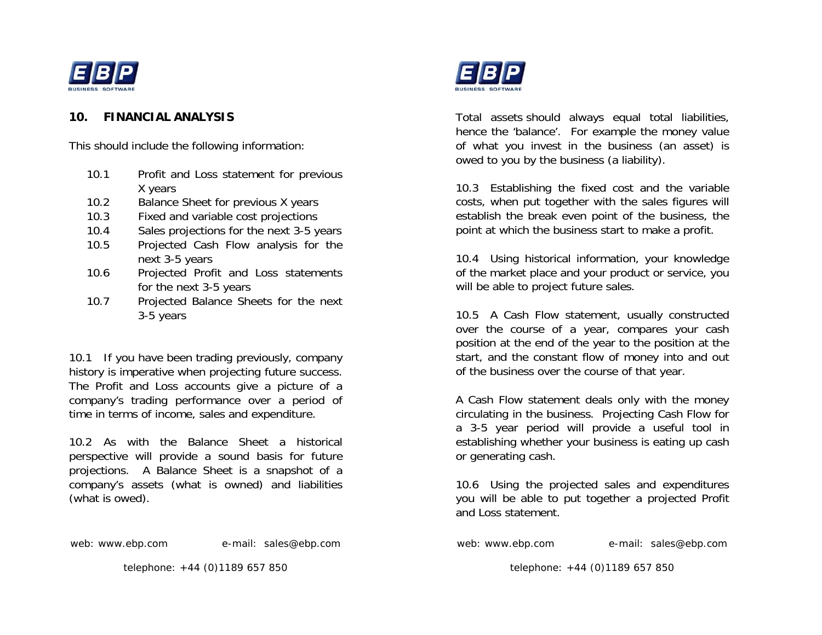

### **10. FINANCIAL ANALYSIS**

This should include the following information:

- 10.1 Profit and Loss statement for previous X years
- 10.2 Balance Sheet for previous X years
- 10.3 Fixed and variable cost projections
- 10.4 Sales projections for the next 3-5 years
- 10.5 Projected Cash Flow analysis for the next 3-5 years
- 10.6 Projected Profit and Loss statements for the next 3-5 years
- 10.7 Projected Balance Sheets for the next 3-5 years

10.1 If you have been trading previously, company history is imperative when projecting future success. The Profit and Loss accounts give a picture of a company's trading performance over a period of time in terms of income, sales and expenditure.

10.2 As with the Balance Sheet a historical perspective will provide a sound basis for future projections. A Balance Sheet is a snapshot of a company's assets (what is owned) and liabilities (what is owed).

web: www.ebp.com e-mail: sales@ebp.com

telephone: +44 (0)1189 657 850



Total assets should always equal total liabilities, hence the 'balance'. For example the money value of what you invest in the business (an asset) is owed to you by the business (a liability).

10.3 Establishing the fixed cost and the variable costs, when put together with the sales figures will establish the break even point of the business, the point at which the business start to make a profit.

10.4 Using historical information, your knowledge of the market place and your product or service, you will be able to project future sales.

10.5 A Cash Flow statement, usually constructed over the course of a year, compares your cash position at the end of the year to the position at the start, and the constant flow of money into and out of the business over the course of that year.

A Cash Flow statement deals only with the money circulating in the business. Projecting Cash Flow for a 3-5 year period will provide a useful tool in establishing whether your business is eating up cash or generating cash.

10.6 Using the projected sales and expenditures you will be able to put together a projected Profit and Loss statement.

web: www.ebp.com e-mail: sales@ebp.com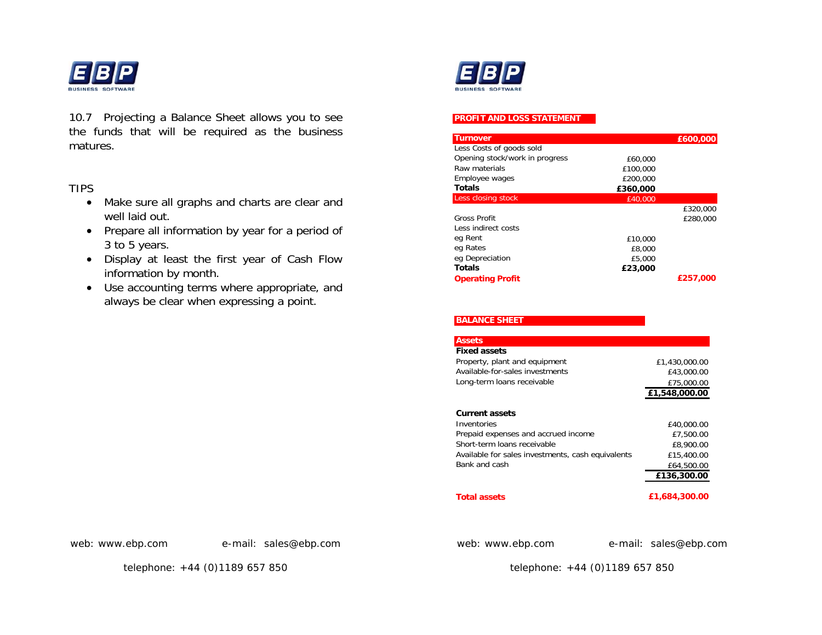

10.7 Projecting a Balance Sheet allows you to see the funds that will be required as the business matures.

### TIPS

- Make sure all graphs and charts are clear and well laid out.
- Prepare all information by year for a period of 3 to 5 years.
- Display at least the first year of Cash Flow information by month.
- Use accounting terms where appropriate, and always be clear when expressing a point.



#### **PROFIT AND LOSS STATEMENT**

| <b>Turnover</b>                |          | £600,000 |
|--------------------------------|----------|----------|
| Less Costs of goods sold       |          |          |
| Opening stock/work in progress | £60,000  |          |
| Raw materials                  | £100,000 |          |
| Employee wages                 | £200,000 |          |
| <b>Totals</b>                  | £360,000 |          |
| Less closing stock             | £40,000  |          |
|                                |          | £320,000 |
| <b>Gross Profit</b>            |          | £280,000 |
| Less indirect costs            |          |          |
| eg Rent                        | £10,000  |          |
| eg Rates                       | £8,000   |          |
| eg Depreciation                | £5,000   |          |
| <b>Totals</b>                  | £23,000  |          |
| <b>Operating Profit</b>        |          | £257,000 |

| <b>BALANCE SHEET</b>                              |               |
|---------------------------------------------------|---------------|
|                                                   |               |
| <b>Assets</b>                                     |               |
| <b>Fixed assets</b>                               |               |
| Property, plant and equipment                     | £1,430,000.00 |
| Available-for-sales investments                   | £43,000.00    |
| Long-term loans receivable                        | £75,000.00    |
|                                                   | £1,548,000.00 |
|                                                   |               |
| <b>Current assets</b>                             |               |
| Inventories                                       | £40,000.00    |
| Prepaid expenses and accrued income               | £7,500.00     |
| Short-term Joans receivable                       | £8,900.00     |
| Available for sales investments, cash equivalents | £15,400.00    |
| Bank and cash                                     | £64,500.00    |
|                                                   | £136,300.00   |
| <b>Total assets</b>                               | £1,684,300.00 |

web: www.ebp.com e-mail: sales@ebp.com

telephone: +44 (0)1189 657 850

web: www.ebp.com e-mail: sales@ebp.com